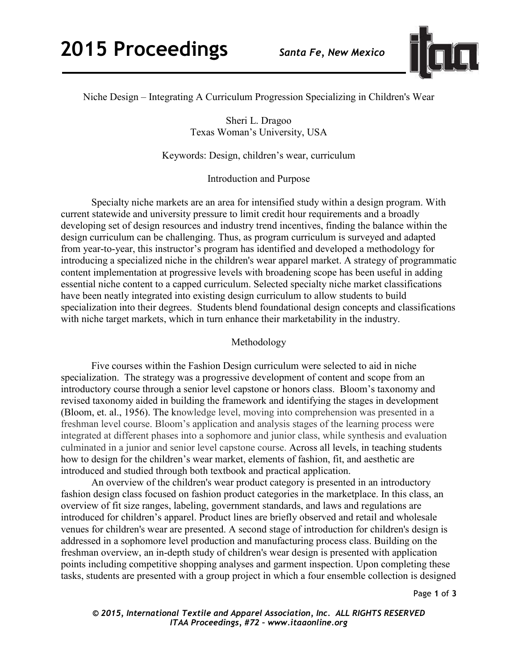

Niche Design – Integrating A Curriculum Progression Specializing in Children's Wear

Sheri L. Dragoo Texas Woman's University, USA

Keywords: Design, children's wear, curriculum

Introduction and Purpose

Specialty niche markets are an area for intensified study within a design program. With current statewide and university pressure to limit credit hour requirements and a broadly developing set of design resources and industry trend incentives, finding the balance within the design curriculum can be challenging. Thus, as program curriculum is surveyed and adapted from year-to-year, this instructor's program has identified and developed a methodology for introducing a specialized niche in the children's wear apparel market. A strategy of programmatic content implementation at progressive levels with broadening scope has been useful in adding essential niche content to a capped curriculum. Selected specialty niche market classifications have been neatly integrated into existing design curriculum to allow students to build specialization into their degrees. Students blend foundational design concepts and classifications with niche target markets, which in turn enhance their marketability in the industry.

## Methodology

Five courses within the Fashion Design curriculum were selected to aid in niche specialization. The strategy was a progressive development of content and scope from an introductory course through a senior level capstone or honors class. Bloom's taxonomy and revised taxonomy aided in building the framework and identifying the stages in development (Bloom, et. al., 1956). The knowledge level, moving into comprehension was presented in a freshman level course. Bloom's application and analysis stages of the learning process were integrated at different phases into a sophomore and junior class, while synthesis and evaluation culminated in a junior and senior level capstone course. Across all levels, in teaching students how to design for the children's wear market, elements of fashion, fit, and aesthetic are introduced and studied through both textbook and practical application.

An overview of the children's wear product category is presented in an introductory fashion design class focused on fashion product categories in the marketplace. In this class, an overview of fit size ranges, labeling, government standards, and laws and regulations are introduced for children's apparel. Product lines are briefly observed and retail and wholesale venues for children's wear are presented. A second stage of introduction for children's design is addressed in a sophomore level production and manufacturing process class. Building on the freshman overview, an in-depth study of children's wear design is presented with application points including competitive shopping analyses and garment inspection. Upon completing these tasks, students are presented with a group project in which a four ensemble collection is designed

Page **1** of **3** 

*© 2015, International Textile and Apparel Association, Inc. ALL RIGHTS RESERVED ITAA Proceedings, #72 – www.itaaonline.org*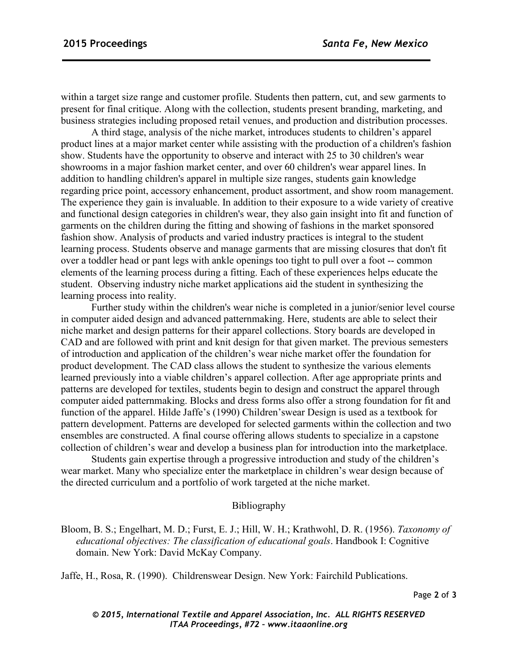within a target size range and customer profile. Students then pattern, cut, and sew garments to present for final critique. Along with the collection, students present branding, marketing, and business strategies including proposed retail venues, and production and distribution processes.

A third stage, analysis of the niche market, introduces students to children's apparel product lines at a major market center while assisting with the production of a children's fashion show. Students have the opportunity to observe and interact with 25 to 30 children's wear showrooms in a major fashion market center, and over 60 children's wear apparel lines. In addition to handling children's apparel in multiple size ranges, students gain knowledge regarding price point, accessory enhancement, product assortment, and show room management. The experience they gain is invaluable. In addition to their exposure to a wide variety of creative and functional design categories in children's wear, they also gain insight into fit and function of garments on the children during the fitting and showing of fashions in the market sponsored fashion show. Analysis of products and varied industry practices is integral to the student learning process. Students observe and manage garments that are missing closures that don't fit over a toddler head or pant legs with ankle openings too tight to pull over a foot -- common elements of the learning process during a fitting. Each of these experiences helps educate the student. Observing industry niche market applications aid the student in synthesizing the learning process into reality.

Further study within the children's wear niche is completed in a junior/senior level course in computer aided design and advanced patternmaking. Here, students are able to select their niche market and design patterns for their apparel collections. Story boards are developed in CAD and are followed with print and knit design for that given market. The previous semesters of introduction and application of the children's wear niche market offer the foundation for product development. The CAD class allows the student to synthesize the various elements learned previously into a viable children's apparel collection. After age appropriate prints and patterns are developed for textiles, students begin to design and construct the apparel through computer aided patternmaking. Blocks and dress forms also offer a strong foundation for fit and function of the apparel. Hilde Jaffe's (1990) Children'swear Design is used as a textbook for pattern development. Patterns are developed for selected garments within the collection and two ensembles are constructed. A final course offering allows students to specialize in a capstone collection of children's wear and develop a business plan for introduction into the marketplace.

Students gain expertise through a progressive introduction and study of the children's wear market. Many who specialize enter the marketplace in children's wear design because of the directed curriculum and a portfolio of work targeted at the niche market.

## Bibliography

[Bloom, B. S.;](http://en.wikipedia.org/wiki/Benjamin_Bloom) Engelhart, M. D.; Furst, E. J.; Hill, W. H.; [Krathwohl, D. R.](http://en.wikipedia.org/wiki/David_Krathwohl) (1956). *Taxonomy of educational objectives: The classification of educational goals*. Handbook I: Cognitive domain. New York: David McKay Company.

Jaffe, H., Rosa, R. (1990). Childrenswear Design. New York: Fairchild Publications.

*© 2015, International Textile and Apparel Association, Inc. ALL RIGHTS RESERVED ITAA Proceedings, #72 – www.itaaonline.org*